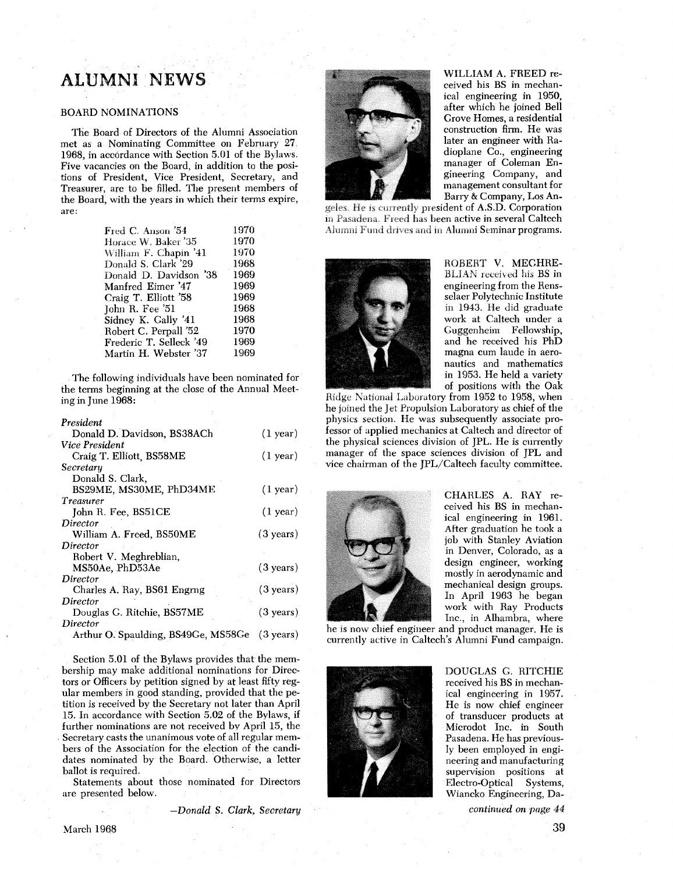# ALUMNI NEWS

# BOARD NOMINATIONS

The Board of Directors of the Alumni Association met as a Nominating Committee on February 27 1968, in accordance with Section 5.01 of the Bylaws. Five vacancies on the Board, in addition to the positions of President, Vice President, Secretary, and Treasurer, are to be filled. The present members of the Board, with the years in which their terms expire, are:

| Fred C. Anson '54       | 1970 |
|-------------------------|------|
| Horace W. Baker '35     | 1970 |
| William F. Chapin '41   | 1970 |
| Donald S. Clark '29     | 1968 |
| Donald D. Davidson '38  | 1969 |
| Manfred Eimer '47       | 1969 |
| Craig T. Elliott '58    | 1969 |
| John R. Fee '51         | 1968 |
| Sidney K. Gally '41     | 1968 |
| Robert C. Perpall '52   | 1970 |
| Frederic T. Selleck '49 | 1969 |
| Martin H. Webster '37   | 1969 |
|                         |      |

The following individuals have been nominated for the terms beginning at the close of the Annual Meeting in June 1968:

| President                           |                     |
|-------------------------------------|---------------------|
| Donald D. Davidson, BS38ACh         | $(1$ year)          |
| Vice President                      |                     |
| Craig T. Elliott, BS58ME            | $(1$ year)          |
| Secretary                           |                     |
| Donald S. Clark,                    |                     |
| BS29ME, MS30ME, PhD34ME             | $(1$ year)          |
| <i>Treasurer</i>                    |                     |
| John R. Fee, BS51CE                 | (1 year)            |
| Director                            |                     |
| William A. Freed, BS50ME            | $(3 \text{ years})$ |
| Director                            |                     |
| Robert V. Meghreblian,              |                     |
| MS50Ae, PhD53Ae                     | $(3 \text{ years})$ |
| Director                            |                     |
| Charles A. Ray, BS61 Engrng         | $(3 \text{ years})$ |
| Director                            |                     |
| Douglas G. Ritchie, BS57ME          | $(3 \text{ years})$ |
| Director                            |                     |
| Arthur O. Spaulding, BS49Ge, MS58Ge | $(3 \text{ years})$ |

Section 5.01 of the Bylaws provides that the membership may make additional nominations for Directors or Officers by petition signed by at least fifty regular members in good standing, provided that the petition is received by the Secretary not later than April 15. In accordance with Section 5.02 of the Bylaws, if further nominations are not received by April 15, the Secretary casts the unanimous vote of all regular members of the Association for the election of the candidates nominated by the Board. Otherwise, a letter ballot is required.

Statements about those nominated for Directors are presented below.

*-Donald* S. *Clark, Secretary* 



WILLIAM A. FREED received his BS in mechanical engineering in 1950, after which he joined Bell Grove Homes, a residential construction firm. He was later an engineer with Radioplane Co., engineering manager of Coleman Engineering Company, and management consultant for Barry & Company, Los An-

geles. He is currently president of A.S.D. Corporation in Pasadena. Freed has been active in several Caltech Alumni Fund drives and in Alumni Seminar programs.



ROBERT V. MECHRE-BLIAN received his BS in engineering from the Rensselaer Polytechnic Institute in 1943. He did graduate work at Caltech under a Guggenheim Fellowship, and he received his PhD magna cum laude in aeronautics and mathematics in 1953. He held a variety of positions with the Oak

Ridge National Laboratory from 1952 to 1958, when he joined the Jet Propulsion Laboratory as chief of the physics section. He was subsequently associate professor of applied mechanics at Caltech and director of the physical sciences division of JPL. He is currently manager of the space sciences division of JPL and vice chairman of the JPL/Caltech faculty committee.



CHARLES A. RAY received his BS in mechanical engineering in 1961. After graduation he took a job with Stanley Aviation in Denver, Colorado, as a design engineer, working mostly in aerodynamic and mechanical design groups. In April 1963 he began work with Ray Products Inc., in Alhambra, where

he is now chief engineer and product manager. He is currently active in Caltech's Alumni Fund campaign.



DOUGLAS G. RITCHIE received his BS in mechanical engineering in 1957. He is now chief engineer of transducer products at Microdot Inc. in South Pasadena. He has previously been employed in engineering and manufacturing supervision positions at Electro-Optical Systems, Wiancko Engineering, Da-

*continued on page 44*